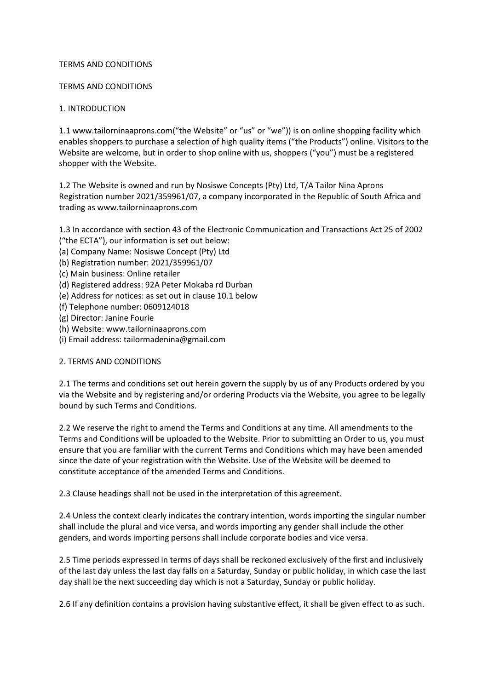#### TERMS AND CONDITIONS

#### TERMS AND CONDITIONS

### 1. INTRODUCTION

1.1 www.tailorninaaprons.com("the Website" or "us" or "we")) is on online shopping facility which enables shoppers to purchase a selection of high quality items ("the Products") online. Visitors to the Website are welcome, but in order to shop online with us, shoppers ("you") must be a registered shopper with the Website.

1.2 The Website is owned and run by Nosiswe Concepts (Pty) Ltd, T/A Tailor Nina Aprons Registration number 2021/359961/07, a company incorporated in the Republic of South Africa and trading as www.tailorninaaprons.com

1.3 In accordance with section 43 of the Electronic Communication and Transactions Act 25 of 2002

- ("the ECTA"), our information is set out below:
- (a) Company Name: Nosiswe Concept (Pty) Ltd
- (b) Registration number: 2021/359961/07
- (c) Main business: Online retailer
- (d) Registered address: 92A Peter Mokaba rd Durban
- (e) Address for notices: as set out in clause 10.1 below
- (f) Telephone number: 0609124018
- (g) Director: Janine Fourie
- (h) Website: www.tailorninaaprons.com
- (i) Email address: tailormadenina@gmail.com

### 2. TERMS AND CONDITIONS

2.1 The terms and conditions set out herein govern the supply by us of any Products ordered by you via the Website and by registering and/or ordering Products via the Website, you agree to be legally bound by such Terms and Conditions.

2.2 We reserve the right to amend the Terms and Conditions at any time. All amendments to the Terms and Conditions will be uploaded to the Website. Prior to submitting an Order to us, you must ensure that you are familiar with the current Terms and Conditions which may have been amended since the date of your registration with the Website. Use of the Website will be deemed to constitute acceptance of the amended Terms and Conditions.

2.3 Clause headings shall not be used in the interpretation of this agreement.

2.4 Unless the context clearly indicates the contrary intention, words importing the singular number shall include the plural and vice versa, and words importing any gender shall include the other genders, and words importing persons shall include corporate bodies and vice versa.

2.5 Time periods expressed in terms of days shall be reckoned exclusively of the first and inclusively of the last day unless the last day falls on a Saturday, Sunday or public holiday, in which case the last day shall be the next succeeding day which is not a Saturday, Sunday or public holiday.

2.6 If any definition contains a provision having substantive effect, it shall be given effect to as such.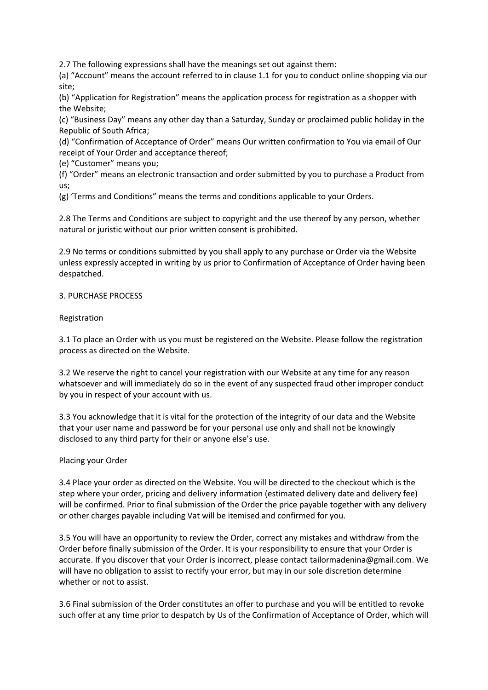2.7 The following expressions shall have the meanings set out against them:

(a) "Account" means the account referred to in clause 1.1 for you to conduct online shopping via our site;

(b) "Application for Registration" means the application process for registration as a shopper with the Website;

(c) "Business Day" means any other day than a Saturday, Sunday or proclaimed public holiday in the Republic of South Africa;

(d) "Confirmation of Acceptance of Order" means Our written confirmation to You via email of Our receipt of Your Order and acceptance thereof;

(e) "Customer" means you;

(f) "Order" means an electronic transaction and order submitted by you to purchase a Product from us;

(g) 'Terms and Conditions" means the terms and conditions applicable to your Orders.

2.8 The Terms and Conditions are subject to copyright and the use thereof by any person, whether natural or juristic without our prior written consent is prohibited.

2.9 No terms or conditions submitted by you shall apply to any purchase or Order via the Website unless expressly accepted in writing by us prior to Confirmation of Acceptance of Order having been despatched.

### 3. PURCHASE PROCESS

### Registration

3.1 To place an Order with us you must be registered on the Website. Please follow the registration process as directed on the Website.

3.2 We reserve the right to cancel your registration with our Website at any time for any reason whatsoever and will immediately do so in the event of any suspected fraud other improper conduct by you in respect of your account with us.

3.3 You acknowledge that it is vital for the protection of the integrity of our data and the Website that your user name and password be for your personal use only and shall not be knowingly disclosed to any third party for their or anyone else's use.

### Placing your Order

3.4 Place your order as directed on the Website. You will be directed to the checkout which is the step where your order, pricing and delivery information (estimated delivery date and delivery fee) will be confirmed. Prior to final submission of the Order the price payable together with any delivery or other charges payable including Vat will be itemised and confirmed for you.

3.5 You will have an opportunity to review the Order, correct any mistakes and withdraw from the Order before finally submission of the Order. It is your responsibility to ensure that your Order is accurate. If you discover that your Order is incorrect, please contact tailormadenina@gmail.com. We will have no obligation to assist to rectify your error, but may in our sole discretion determine whether or not to assist.

3.6 Final submission of the Order constitutes an offer to purchase and you will be entitled to revoke such offer at any time prior to despatch by Us of the Confirmation of Acceptance of Order, which will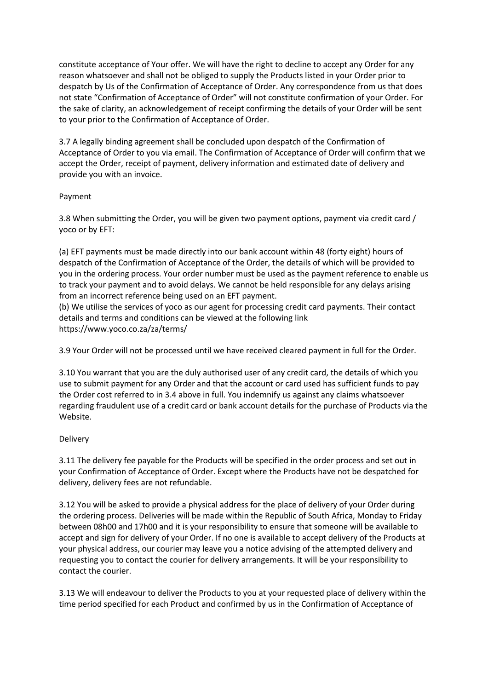constitute acceptance of Your offer. We will have the right to decline to accept any Order for any reason whatsoever and shall not be obliged to supply the Products listed in your Order prior to despatch by Us of the Confirmation of Acceptance of Order. Any correspondence from us that does not state "Confirmation of Acceptance of Order" will not constitute confirmation of your Order. For the sake of clarity, an acknowledgement of receipt confirming the details of your Order will be sent to your prior to the Confirmation of Acceptance of Order.

3.7 A legally binding agreement shall be concluded upon despatch of the Confirmation of Acceptance of Order to you via email. The Confirmation of Acceptance of Order will confirm that we accept the Order, receipt of payment, delivery information and estimated date of delivery and provide you with an invoice.

# Payment

3.8 When submitting the Order, you will be given two payment options, payment via credit card / yoco or by EFT:

(a) EFT payments must be made directly into our bank account within 48 (forty eight) hours of despatch of the Confirmation of Acceptance of the Order, the details of which will be provided to you in the ordering process. Your order number must be used as the payment reference to enable us to track your payment and to avoid delays. We cannot be held responsible for any delays arising from an incorrect reference being used on an EFT payment.

(b) We utilise the services of yoco as our agent for processing credit card payments. Their contact details and terms and conditions can be viewed at the following link https://www.yoco.co.za/za/terms/

3.9 Your Order will not be processed until we have received cleared payment in full for the Order.

3.10 You warrant that you are the duly authorised user of any credit card, the details of which you use to submit payment for any Order and that the account or card used has sufficient funds to pay the Order cost referred to in 3.4 above in full. You indemnify us against any claims whatsoever regarding fraudulent use of a credit card or bank account details for the purchase of Products via the Website.

# Delivery

3.11 The delivery fee payable for the Products will be specified in the order process and set out in your Confirmation of Acceptance of Order. Except where the Products have not be despatched for delivery, delivery fees are not refundable.

3.12 You will be asked to provide a physical address for the place of delivery of your Order during the ordering process. Deliveries will be made within the Republic of South Africa, Monday to Friday between 08h00 and 17h00 and it is your responsibility to ensure that someone will be available to accept and sign for delivery of your Order. If no one is available to accept delivery of the Products at your physical address, our courier may leave you a notice advising of the attempted delivery and requesting you to contact the courier for delivery arrangements. It will be your responsibility to contact the courier.

3.13 We will endeavour to deliver the Products to you at your requested place of delivery within the time period specified for each Product and confirmed by us in the Confirmation of Acceptance of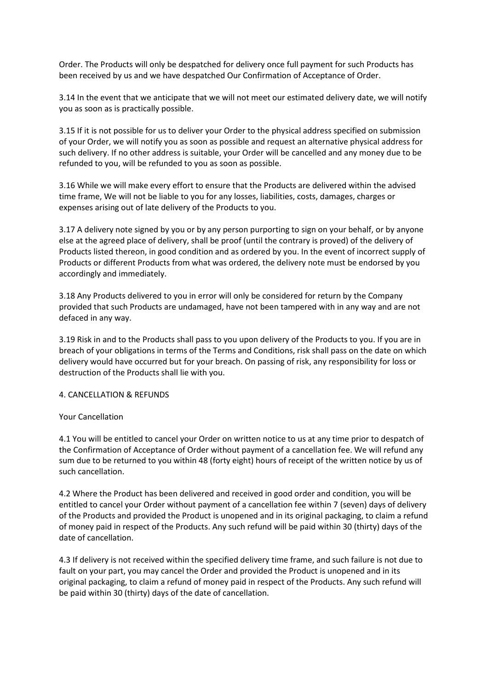Order. The Products will only be despatched for delivery once full payment for such Products has been received by us and we have despatched Our Confirmation of Acceptance of Order.

3.14 In the event that we anticipate that we will not meet our estimated delivery date, we will notify you as soon as is practically possible.

3.15 If it is not possible for us to deliver your Order to the physical address specified on submission of your Order, we will notify you as soon as possible and request an alternative physical address for such delivery. If no other address is suitable, your Order will be cancelled and any money due to be refunded to you, will be refunded to you as soon as possible.

3.16 While we will make every effort to ensure that the Products are delivered within the advised time frame, We will not be liable to you for any losses, liabilities, costs, damages, charges or expenses arising out of late delivery of the Products to you.

3.17 A delivery note signed by you or by any person purporting to sign on your behalf, or by anyone else at the agreed place of delivery, shall be proof (until the contrary is proved) of the delivery of Products listed thereon, in good condition and as ordered by you. In the event of incorrect supply of Products or different Products from what was ordered, the delivery note must be endorsed by you accordingly and immediately.

3.18 Any Products delivered to you in error will only be considered for return by the Company provided that such Products are undamaged, have not been tampered with in any way and are not defaced in any way.

3.19 Risk in and to the Products shall pass to you upon delivery of the Products to you. If you are in breach of your obligations in terms of the Terms and Conditions, risk shall pass on the date on which delivery would have occurred but for your breach. On passing of risk, any responsibility for loss or destruction of the Products shall lie with you.

### 4. CANCELLATION & REFUNDS

#### Your Cancellation

4.1 You will be entitled to cancel your Order on written notice to us at any time prior to despatch of the Confirmation of Acceptance of Order without payment of a cancellation fee. We will refund any sum due to be returned to you within 48 (forty eight) hours of receipt of the written notice by us of such cancellation.

4.2 Where the Product has been delivered and received in good order and condition, you will be entitled to cancel your Order without payment of a cancellation fee within 7 (seven) days of delivery of the Products and provided the Product is unopened and in its original packaging, to claim a refund of money paid in respect of the Products. Any such refund will be paid within 30 (thirty) days of the date of cancellation.

4.3 If delivery is not received within the specified delivery time frame, and such failure is not due to fault on your part, you may cancel the Order and provided the Product is unopened and in its original packaging, to claim a refund of money paid in respect of the Products. Any such refund will be paid within 30 (thirty) days of the date of cancellation.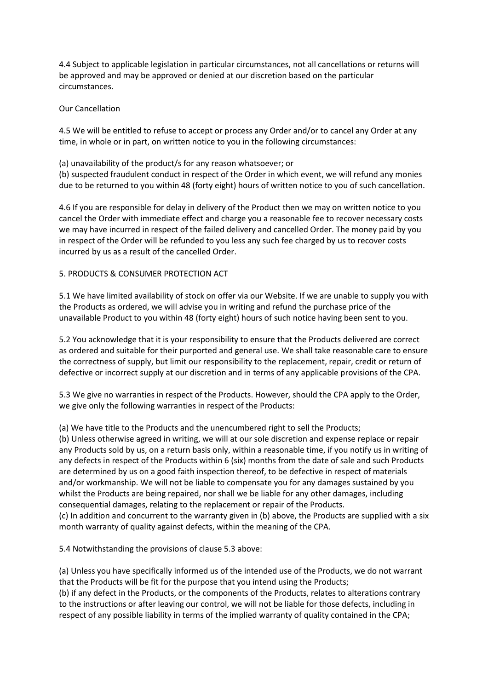4.4 Subject to applicable legislation in particular circumstances, not all cancellations or returns will be approved and may be approved or denied at our discretion based on the particular circumstances.

Our Cancellation

4.5 We will be entitled to refuse to accept or process any Order and/or to cancel any Order at any time, in whole or in part, on written notice to you in the following circumstances:

(a) unavailability of the product/s for any reason whatsoever; or

(b) suspected fraudulent conduct in respect of the Order in which event, we will refund any monies due to be returned to you within 48 (forty eight) hours of written notice to you of such cancellation.

4.6 If you are responsible for delay in delivery of the Product then we may on written notice to you cancel the Order with immediate effect and charge you a reasonable fee to recover necessary costs we may have incurred in respect of the failed delivery and cancelled Order. The money paid by you in respect of the Order will be refunded to you less any such fee charged by us to recover costs incurred by us as a result of the cancelled Order.

# 5. PRODUCTS & CONSUMER PROTECTION ACT

5.1 We have limited availability of stock on offer via our Website. If we are unable to supply you with the Products as ordered, we will advise you in writing and refund the purchase price of the unavailable Product to you within 48 (forty eight) hours of such notice having been sent to you.

5.2 You acknowledge that it is your responsibility to ensure that the Products delivered are correct as ordered and suitable for their purported and general use. We shall take reasonable care to ensure the correctness of supply, but limit our responsibility to the replacement, repair, credit or return of defective or incorrect supply at our discretion and in terms of any applicable provisions of the CPA.

5.3 We give no warranties in respect of the Products. However, should the CPA apply to the Order, we give only the following warranties in respect of the Products:

(a) We have title to the Products and the unencumbered right to sell the Products;

(b) Unless otherwise agreed in writing, we will at our sole discretion and expense replace or repair any Products sold by us, on a return basis only, within a reasonable time, if you notify us in writing of any defects in respect of the Products within 6 (six) months from the date of sale and such Products are determined by us on a good faith inspection thereof, to be defective in respect of materials and/or workmanship. We will not be liable to compensate you for any damages sustained by you whilst the Products are being repaired, nor shall we be liable for any other damages, including consequential damages, relating to the replacement or repair of the Products. (c) In addition and concurrent to the warranty given in (b) above, the Products are supplied with a six month warranty of quality against defects, within the meaning of the CPA.

5.4 Notwithstanding the provisions of clause 5.3 above:

(a) Unless you have specifically informed us of the intended use of the Products, we do not warrant that the Products will be fit for the purpose that you intend using the Products;

(b) if any defect in the Products, or the components of the Products, relates to alterations contrary to the instructions or after leaving our control, we will not be liable for those defects, including in respect of any possible liability in terms of the implied warranty of quality contained in the CPA;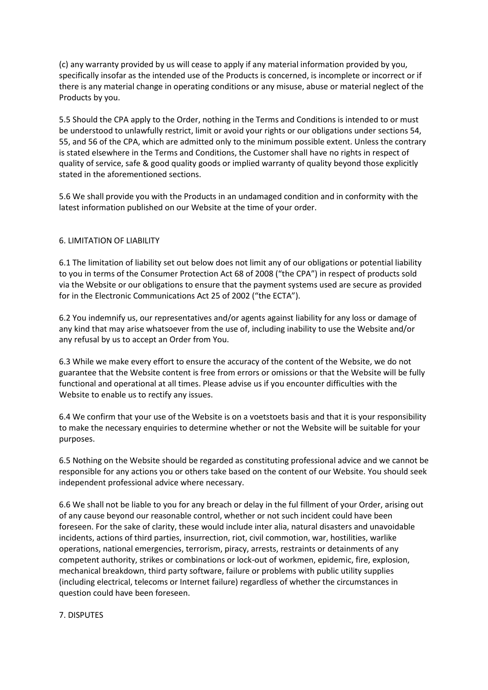(c) any warranty provided by us will cease to apply if any material information provided by you, specifically insofar as the intended use of the Products is concerned, is incomplete or incorrect or if there is any material change in operating conditions or any misuse, abuse or material neglect of the Products by you.

5.5 Should the CPA apply to the Order, nothing in the Terms and Conditions is intended to or must be understood to unlawfully restrict, limit or avoid your rights or our obligations under sections 54, 55, and 56 of the CPA, which are admitted only to the minimum possible extent. Unless the contrary is stated elsewhere in the Terms and Conditions, the Customer shall have no rights in respect of quality of service, safe & good quality goods or implied warranty of quality beyond those explicitly stated in the aforementioned sections.

5.6 We shall provide you with the Products in an undamaged condition and in conformity with the latest information published on our Website at the time of your order.

# 6. LIMITATION OF LIABILITY

6.1 The limitation of liability set out below does not limit any of our obligations or potential liability to you in terms of the Consumer Protection Act 68 of 2008 ("the CPA") in respect of products sold via the Website or our obligations to ensure that the payment systems used are secure as provided for in the Electronic Communications Act 25 of 2002 ("the ECTA").

6.2 You indemnify us, our representatives and/or agents against liability for any loss or damage of any kind that may arise whatsoever from the use of, including inability to use the Website and/or any refusal by us to accept an Order from You.

6.3 While we make every effort to ensure the accuracy of the content of the Website, we do not guarantee that the Website content is free from errors or omissions or that the Website will be fully functional and operational at all times. Please advise us if you encounter difficulties with the Website to enable us to rectify any issues.

6.4 We confirm that your use of the Website is on a voetstoets basis and that it is your responsibility to make the necessary enquiries to determine whether or not the Website will be suitable for your purposes.

6.5 Nothing on the Website should be regarded as constituting professional advice and we cannot be responsible for any actions you or others take based on the content of our Website. You should seek independent professional advice where necessary.

6.6 We shall not be liable to you for any breach or delay in the ful fillment of your Order, arising out of any cause beyond our reasonable control, whether or not such incident could have been foreseen. For the sake of clarity, these would include inter alia, natural disasters and unavoidable incidents, actions of third parties, insurrection, riot, civil commotion, war, hostilities, warlike operations, national emergencies, terrorism, piracy, arrests, restraints or detainments of any competent authority, strikes or combinations or lock-out of workmen, epidemic, fire, explosion, mechanical breakdown, third party software, failure or problems with public utility supplies (including electrical, telecoms or Internet failure) regardless of whether the circumstances in question could have been foreseen.

### 7. DISPUTES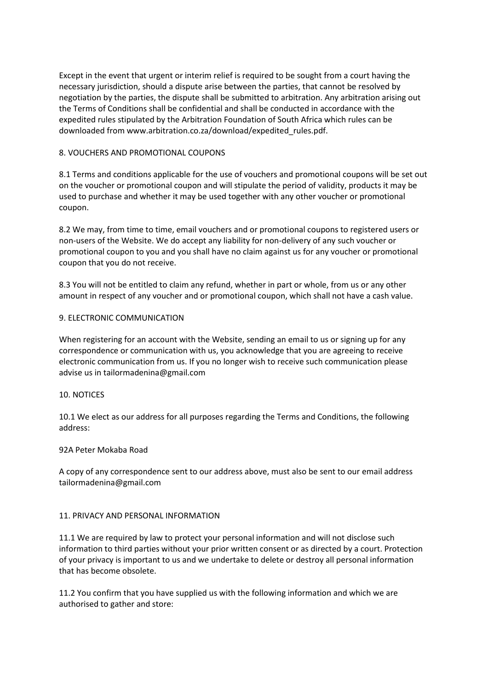Except in the event that urgent or interim relief is required to be sought from a court having the necessary jurisdiction, should a dispute arise between the parties, that cannot be resolved by negotiation by the parties, the dispute shall be submitted to arbitration. Any arbitration arising out the Terms of Conditions shall be confidential and shall be conducted in accordance with the expedited rules stipulated by the Arbitration Foundation of South Africa which rules can be downloaded from www.arbitration.co.za/download/expedited\_rules.pdf.

# 8. VOUCHERS AND PROMOTIONAL COUPONS

8.1 Terms and conditions applicable for the use of vouchers and promotional coupons will be set out on the voucher or promotional coupon and will stipulate the period of validity, products it may be used to purchase and whether it may be used together with any other voucher or promotional coupon.

8.2 We may, from time to time, email vouchers and or promotional coupons to registered users or non-users of the Website. We do accept any liability for non-delivery of any such voucher or promotional coupon to you and you shall have no claim against us for any voucher or promotional coupon that you do not receive.

8.3 You will not be entitled to claim any refund, whether in part or whole, from us or any other amount in respect of any voucher and or promotional coupon, which shall not have a cash value.

### 9. ELECTRONIC COMMUNICATION

When registering for an account with the Website, sending an email to us or signing up for any correspondence or communication with us, you acknowledge that you are agreeing to receive electronic communication from us. If you no longer wish to receive such communication please advise us in tailormadenina@gmail.com

### 10. NOTICES

10.1 We elect as our address for all purposes regarding the Terms and Conditions, the following address:

### 92A Peter Mokaba Road

A copy of any correspondence sent to our address above, must also be sent to our email address tailormadenina@gmail.com

### 11. PRIVACY AND PERSONAL INFORMATION

11.1 We are required by law to protect your personal information and will not disclose such information to third parties without your prior written consent or as directed by a court. Protection of your privacy is important to us and we undertake to delete or destroy all personal information that has become obsolete.

11.2 You confirm that you have supplied us with the following information and which we are authorised to gather and store: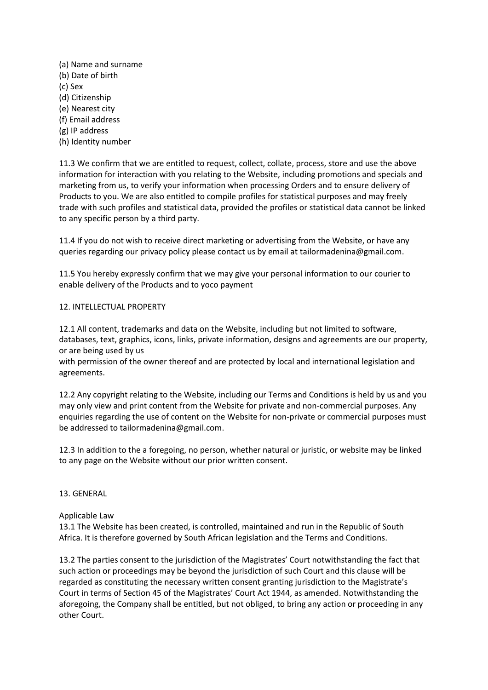(a) Name and surname (b) Date of birth (c) Sex (d) Citizenship (e) Nearest city (f) Email address (g) IP address (h) Identity number

11.3 We confirm that we are entitled to request, collect, collate, process, store and use the above information for interaction with you relating to the Website, including promotions and specials and marketing from us, to verify your information when processing Orders and to ensure delivery of Products to you. We are also entitled to compile profiles for statistical purposes and may freely trade with such profiles and statistical data, provided the profiles or statistical data cannot be linked to any specific person by a third party.

11.4 If you do not wish to receive direct marketing or advertising from the Website, or have any queries regarding our privacy policy please contact us by email at tailormadenina@gmail.com.

11.5 You hereby expressly confirm that we may give your personal information to our courier to enable delivery of the Products and to yoco payment

# 12. INTELLECTUAL PROPERTY

12.1 All content, trademarks and data on the Website, including but not limited to software, databases, text, graphics, icons, links, private information, designs and agreements are our property, or are being used by us

with permission of the owner thereof and are protected by local and international legislation and agreements.

12.2 Any copyright relating to the Website, including our Terms and Conditions is held by us and you may only view and print content from the Website for private and non-commercial purposes. Any enquiries regarding the use of content on the Website for non-private or commercial purposes must be addressed to tailormadenina@gmail.com.

12.3 In addition to the a foregoing, no person, whether natural or juristic, or website may be linked to any page on the Website without our prior written consent.

### 13. GENERAL

### Applicable Law

13.1 The Website has been created, is controlled, maintained and run in the Republic of South Africa. It is therefore governed by South African legislation and the Terms and Conditions.

13.2 The parties consent to the jurisdiction of the Magistrates' Court notwithstanding the fact that such action or proceedings may be beyond the jurisdiction of such Court and this clause will be regarded as constituting the necessary written consent granting jurisdiction to the Magistrate's Court in terms of Section 45 of the Magistrates' Court Act 1944, as amended. Notwithstanding the aforegoing, the Company shall be entitled, but not obliged, to bring any action or proceeding in any other Court.